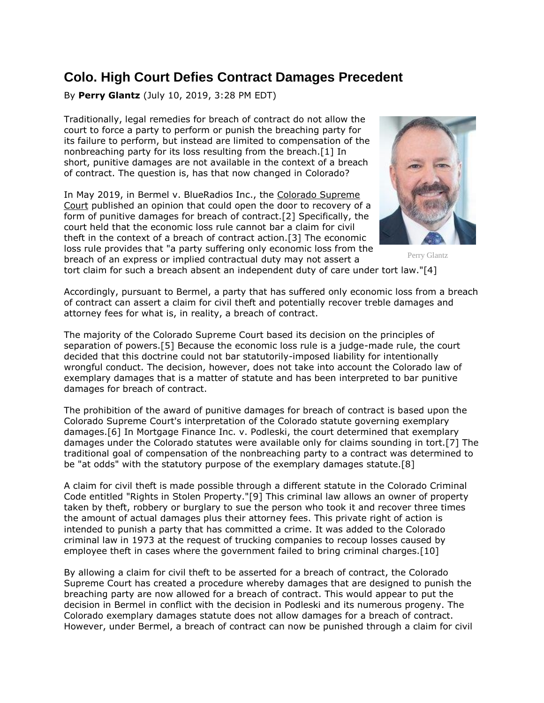## **Colo. High Court Defies Contract Damages Precedent**

By **Perry Glantz** (July 10, 2019, 3:28 PM EDT)

Traditionally, legal remedies for breach of contract do not allow the court to force a party to perform or punish the breaching party for its failure to perform, but instead are limited to compensation of the nonbreaching party for its loss resulting from the breach.[1] In short, punitive damages are not available in the context of a breach of contract. The question is, has that now changed in Colorado?

In May 2019, in Bermel v. BlueRadios Inc., the [Colorado Supreme](https://www.law360.com/agencies/colorado-supreme-court)  [Court](https://www.law360.com/agencies/colorado-supreme-court) published an opinion that could open the door to recovery of a form of punitive damages for breach of contract.[2] Specifically, the court held that the economic loss rule cannot bar a claim for civil theft in the context of a breach of contract action.[3] The economic loss rule provides that "a party suffering only economic loss from the breach of an express or implied contractual duty may not assert a



Perry Glantz

tort claim for such a breach absent an independent duty of care under tort law."[4]

Accordingly, pursuant to Bermel, a party that has suffered only economic loss from a breach of contract can assert a claim for civil theft and potentially recover treble damages and attorney fees for what is, in reality, a breach of contract.

The majority of the Colorado Supreme Court based its decision on the principles of separation of powers.[5] Because the economic loss rule is a judge-made rule, the court decided that this doctrine could not bar statutorily-imposed liability for intentionally wrongful conduct. The decision, however, does not take into account the Colorado law of exemplary damages that is a matter of statute and has been interpreted to bar punitive damages for breach of contract.

The prohibition of the award of punitive damages for breach of contract is based upon the Colorado Supreme Court's interpretation of the Colorado statute governing exemplary damages.[6] In Mortgage Finance Inc. v. Podleski, the court determined that exemplary damages under the Colorado statutes were available only for claims sounding in tort.[7] The traditional goal of compensation of the nonbreaching party to a contract was determined to be "at odds" with the statutory purpose of the exemplary damages statute.[8]

A claim for civil theft is made possible through a different statute in the Colorado Criminal Code entitled "Rights in Stolen Property."[9] This criminal law allows an owner of property taken by theft, robbery or burglary to sue the person who took it and recover three times the amount of actual damages plus their attorney fees. This private right of action is intended to punish a party that has committed a crime. It was added to the Colorado criminal law in 1973 at the request of trucking companies to recoup losses caused by employee theft in cases where the government failed to bring criminal charges.[10]

By allowing a claim for civil theft to be asserted for a breach of contract, the Colorado Supreme Court has created a procedure whereby damages that are designed to punish the breaching party are now allowed for a breach of contract. This would appear to put the decision in Bermel in conflict with the decision in Podleski and its numerous progeny. The Colorado exemplary damages statute does not allow damages for a breach of contract. However, under Bermel, a breach of contract can now be punished through a claim for civil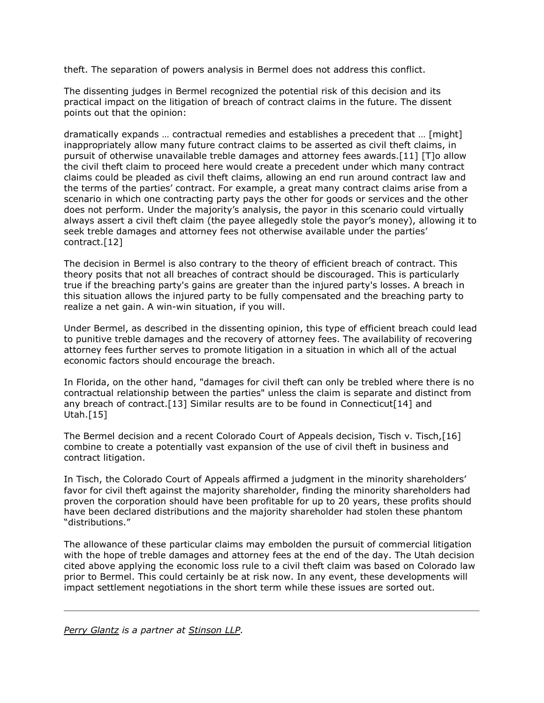theft. The separation of powers analysis in Bermel does not address this conflict.

The dissenting judges in Bermel recognized the potential risk of this decision and its practical impact on the litigation of breach of contract claims in the future. The dissent points out that the opinion:

dramatically expands … contractual remedies and establishes a precedent that … [might] inappropriately allow many future contract claims to be asserted as civil theft claims, in pursuit of otherwise unavailable treble damages and attorney fees awards.[11] [T]o allow the civil theft claim to proceed here would create a precedent under which many contract claims could be pleaded as civil theft claims, allowing an end run around contract law and the terms of the parties' contract. For example, a great many contract claims arise from a scenario in which one contracting party pays the other for goods or services and the other does not perform. Under the majority's analysis, the payor in this scenario could virtually always assert a civil theft claim (the payee allegedly stole the payor's money), allowing it to seek treble damages and attorney fees not otherwise available under the parties' contract.[12]

The decision in Bermel is also contrary to the theory of efficient breach of contract. This theory posits that not all breaches of contract should be discouraged. This is particularly true if the breaching party's gains are greater than the injured party's losses. A breach in this situation allows the injured party to be fully compensated and the breaching party to realize a net gain. A win-win situation, if you will.

Under Bermel, as described in the dissenting opinion, this type of efficient breach could lead to punitive treble damages and the recovery of attorney fees. The availability of recovering attorney fees further serves to promote litigation in a situation in which all of the actual economic factors should encourage the breach.

In Florida, on the other hand, "damages for civil theft can only be trebled where there is no contractual relationship between the parties" unless the claim is separate and distinct from any breach of contract.[13] Similar results are to be found in Connecticut[14] and Utah.[15]

The Bermel decision and a recent Colorado Court of Appeals decision, Tisch v. Tisch,[16] combine to create a potentially vast expansion of the use of civil theft in business and contract litigation.

In Tisch, the Colorado Court of Appeals affirmed a judgment in the minority shareholders' favor for civil theft against the majority shareholder, finding the minority shareholders had proven the corporation should have been profitable for up to 20 years, these profits should have been declared distributions and the majority shareholder had stolen these phantom "distributions."

The allowance of these particular claims may embolden the pursuit of commercial litigation with the hope of treble damages and attorney fees at the end of the day. The Utah decision cited above applying the economic loss rule to a civil theft claim was based on Colorado law prior to Bermel. This could certainly be at risk now. In any event, these developments will impact settlement negotiations in the short term while these issues are sorted out.